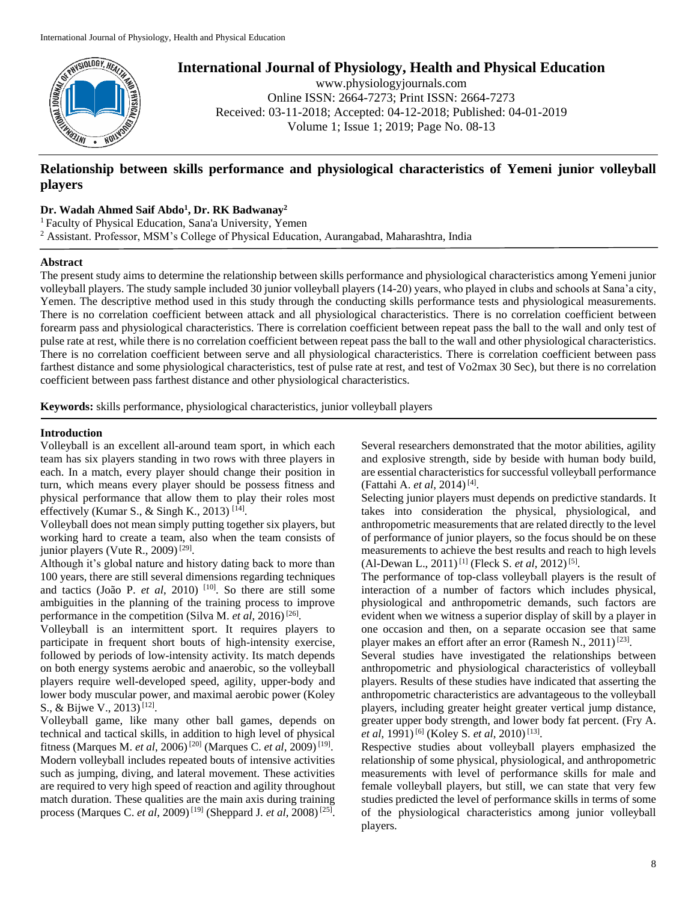

# **International Journal of Physiology, Health and Physical Education**

www.physiologyjournals.com Online ISSN: 2664-7273; Print ISSN: 2664-7273 Received: 03-11-2018; Accepted: 04-12-2018; Published: 04-01-2019 Volume 1; Issue 1; 2019; Page No. 08-13

# **Relationship between skills performance and physiological characteristics of Yemeni junior volleyball players**

**Dr. Wadah Ahmed Saif Abdo<sup>1</sup> , Dr. RK Badwanay<sup>2</sup>**

<sup>1</sup> Faculty of Physical Education, Sana'a University, Yemen

<sup>2</sup> Assistant. Professor, MSM's College of Physical Education, Aurangabad, Maharashtra, India

# **Abstract**

The present study aims to determine the relationship between skills performance and physiological characteristics among Yemeni junior volleyball players. The study sample included 30 junior volleyball players (14-20) years, who played in clubs and schools at Sana'a city, Yemen. The descriptive method used in this study through the conducting skills performance tests and physiological measurements. There is no correlation coefficient between attack and all physiological characteristics. There is no correlation coefficient between forearm pass and physiological characteristics. There is correlation coefficient between repeat pass the ball to the wall and only test of pulse rate at rest, while there is no correlation coefficient between repeat pass the ball to the wall and other physiological characteristics. There is no correlation coefficient between serve and all physiological characteristics. There is correlation coefficient between pass farthest distance and some physiological characteristics, test of pulse rate at rest, and test of Vo2max 30 Sec), but there is no correlation coefficient between pass farthest distance and other physiological characteristics.

**Keywords:** skills performance, physiological characteristics, junior volleyball players

# **Introduction**

Volleyball is an excellent all-around team sport, in which each team has six players standing in two rows with three players in each. In a match, every player should change their position in turn, which means every player should be possess fitness and physical performance that allow them to play their roles most effectively (Kumar S., & Singh K., 2013)<sup>[14]</sup>.

Volleyball does not mean simply putting together six players, but working hard to create a team, also when the team consists of junior players (Vute R., 2009)<sup>[29]</sup>.

Although it's global nature and history dating back to more than 100 years, there are still several dimensions regarding techniques and tactics (João P. *et al*, 2010)<sup>[10]</sup>. So there are still some ambiguities in the planning of the training process to improve performance in the competition (Silva M. *et al*, 2016)<sup>[26]</sup>.

Volleyball is an intermittent sport. It requires players to participate in frequent short bouts of high-intensity exercise, followed by periods of low-intensity activity. Its match depends on both energy systems aerobic and anaerobic, so the volleyball players require well-developed speed, agility, upper-body and lower body muscular power, and maximal aerobic power (Koley S., & Bijwe V., 2013)<sup>[12]</sup>.

Volleyball game, like many other ball games, depends on technical and tactical skills, in addition to high level of physical fitness (Marques M. *et al*, 2006)<sup>[20]</sup> (Marques C. *et al*, 2009)<sup>[19]</sup>. Modern volleyball includes repeated bouts of intensive activities such as jumping, diving, and lateral movement. These activities are required to very high speed of reaction and agility throughout match duration. These qualities are the main axis during training process (Marques C. *et al*, 2009)<sup>[19]</sup> (Sheppard J. *et al*, 2008)<sup>[25]</sup>. Several researchers demonstrated that the motor abilities, agility and explosive strength, side by beside with human body build, are essential characteristics for successful volleyball performance (Fattahi A. *et al*, 2014)<sup>[4]</sup>.

Selecting junior players must depends on predictive standards. It takes into consideration the physical, physiological, and anthropometric measurements that are related directly to the level of performance of junior players, so the focus should be on these measurements to achieve the best results and reach to high levels  $(Al$ -Dewan L., 2011)<sup>[1]</sup> (Fleck S. *et al*, 2012)<sup>[5]</sup>.

The performance of top-class volleyball players is the result of interaction of a number of factors which includes physical, physiological and anthropometric demands, such factors are evident when we witness a superior display of skill by a player in one occasion and then, on a separate occasion see that same player makes an effort after an error (Ramesh N.,  $2011$ )<sup>[23]</sup>.

Several studies have investigated the relationships between anthropometric and physiological characteristics of volleyball players. Results of these studies have indicated that asserting the anthropometric characteristics are advantageous to the volleyball players, including greater height greater vertical jump distance, greater upper body strength, and lower body fat percent. (Fry A. *et al*, 1991)<sup>[6]</sup> (Koley S. *et al*, 2010)<sup>[13]</sup>.

Respective studies about volleyball players emphasized the relationship of some physical, physiological, and anthropometric measurements with level of performance skills for male and female volleyball players, but still, we can state that very few studies predicted the level of performance skills in terms of some of the physiological characteristics among junior volleyball players.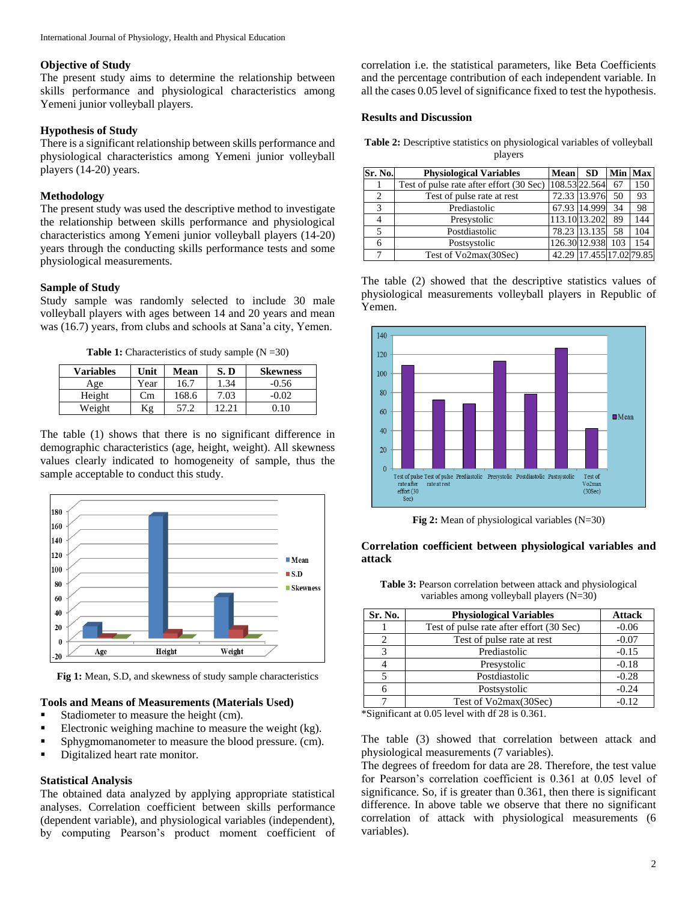## **Objective of Study**

The present study aims to determine the relationship between skills performance and physiological characteristics among Yemeni junior volleyball players.

# **Hypothesis of Study**

There is a significant relationship between skills performance and physiological characteristics among Yemeni junior volleyball players (14-20) years.

#### **Methodology**

The present study was used the descriptive method to investigate the relationship between skills performance and physiological characteristics among Yemeni junior volleyball players (14-20) years through the conducting skills performance tests and some physiological measurements.

## **Sample of Study**

Study sample was randomly selected to include 30 male volleyball players with ages between 14 and 20 years and mean was (16.7) years, from clubs and schools at Sana'a city, Yemen.

**Table 1:** Characteristics of study sample  $(N = 30)$ 

| <b>Variables</b> | Unit | Mean  | S. D  | <b>Skewness</b> |
|------------------|------|-------|-------|-----------------|
| Age              | Year | 16.7  | 1.34  | $-0.56$         |
| Height           | Сm   | 168.6 | 7.03  | $-0.02$         |
| Weight           | Κg   | 57.2  | 12.21 | .10             |
|                  |      |       |       |                 |

The table (1) shows that there is no significant difference in demographic characteristics (age, height, weight). All skewness values clearly indicated to homogeneity of sample, thus the sample acceptable to conduct this study.



**Fig 1:** Mean, S.D, and skewness of study sample characteristics

## **Tools and Means of Measurements (Materials Used)**

- Stadiometer to measure the height (cm).
- Electronic weighing machine to measure the weight (kg).
- **Sphygmomanometer to measure the blood pressure.** (cm).
- Digitalized heart rate monitor.

#### **Statistical Analysis**

The obtained data analyzed by applying appropriate statistical analyses. Correlation coefficient between skills performance (dependent variable), and physiological variables (independent), by computing Pearson's product moment coefficient of correlation i.e. the statistical parameters, like Beta Coefficients and the percentage contribution of each independent variable. In all the cases 0.05 level of significance fixed to test the hypothesis.

#### **Results and Discussion**

**Table 2:** Descriptive statistics on physiological variables of volleyball players

| Sr. No. | <b>Physiological Variables</b>           | <b>Mean</b>   | <b>SD</b>                |     | Min   Max |
|---------|------------------------------------------|---------------|--------------------------|-----|-----------|
|         | Test of pulse rate after effort (30 Sec) | 108.53 22.564 |                          | 67  | 150       |
| 2       | Test of pulse rate at rest               |               | 72.33 13.976             | 50  | 93        |
| 3       | Prediastolic                             |               | 67.93 14.999             | 34  | 98        |
|         | Presystolic                              |               | 113.10 13.202            | 89  | 144       |
| 5       | Postdiastolic                            |               | 78.23 13.135             | 58  | 104       |
| 6       | Postsystolic                             |               | 126.30 12.938            | 103 | 154       |
|         | Test of Vo2max(30Sec)                    |               | 42.29 17.455 17.02 79.85 |     |           |

The table (2) showed that the descriptive statistics values of physiological measurements volleyball players in Republic of Yemen.



**Fig 2:** Mean of physiological variables (N=30)

# **Correlation coefficient between physiological variables and attack**

| Sr. No. | <b>Physiological Variables</b>           | <b>Attack</b> |
|---------|------------------------------------------|---------------|
|         | Test of pulse rate after effort (30 Sec) | $-0.06$       |
|         | Test of pulse rate at rest               | $-0.07$       |
|         | Prediastolic                             | $-0.15$       |
|         | Presystolic                              | $-0.18$       |
|         | Postdiastolic                            | $-0.28$       |
|         | Postsystolic                             | $-0.24$       |
|         | Test of Vo2max(30Sec)                    | $-0.12$       |

**Table 3:** Pearson correlation between attack and physiological variables among volleyball players (N=30)

\*Significant at 0.05 level with df 28 is 0.361.

The table (3) showed that correlation between attack and physiological measurements (7 variables).

The degrees of freedom for data are 28. Therefore, the test value for Pearson's correlation coefficient is 0.361 at 0.05 level of significance. So, if is greater than 0.361, then there is significant difference. In above table we observe that there no significant correlation of attack with physiological measurements (6 variables).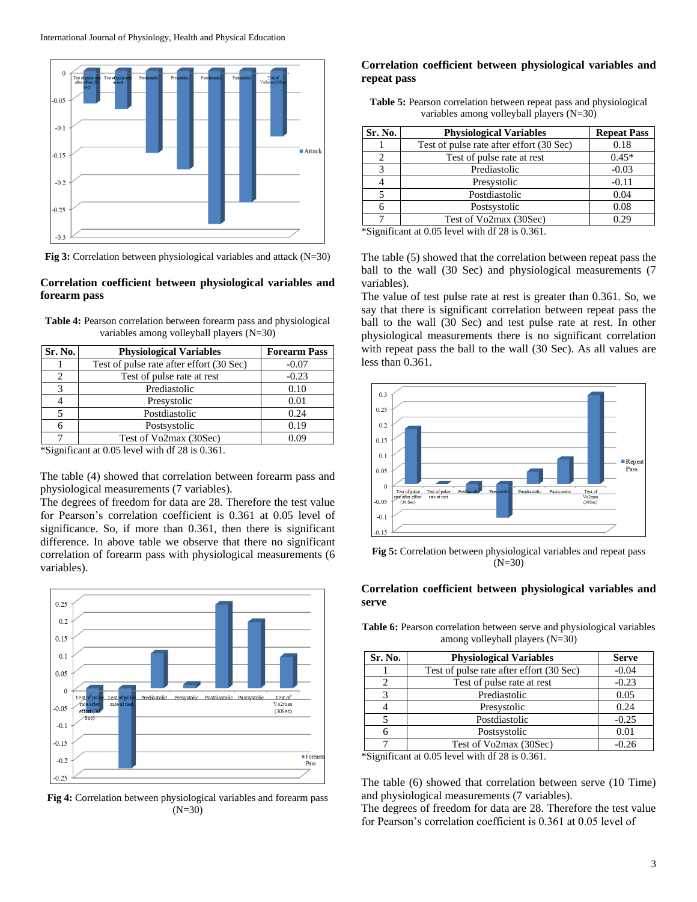

**Fig 3:** Correlation between physiological variables and attack (N=30)

# **Correlation coefficient between physiological variables and forearm pass**

| <b>Table 4:</b> Pearson correlation between forearm pass and physiological |
|----------------------------------------------------------------------------|
| variables among volleyball players $(N=30)$                                |

| Sr. No.                     | <b>Physiological Variables</b>           | <b>Forearm Pass</b> |
|-----------------------------|------------------------------------------|---------------------|
|                             | Test of pulse rate after effort (30 Sec) | $-0.07$             |
| $\mathcal{D}_{\mathcal{L}}$ | Test of pulse rate at rest               | $-0.23$             |
| 3                           | Prediastolic                             | 0.10                |
|                             | Presystolic                              | 0.01                |
|                             | Postdiastolic                            | 0.24                |
|                             | Postsystolic                             | 0.19                |
|                             | Test of Vo2max (30Sec)                   | 0.09                |

\*Significant at 0.05 level with df 28 is 0.361.

The table (4) showed that correlation between forearm pass and physiological measurements (7 variables).

The degrees of freedom for data are 28. Therefore the test value for Pearson's correlation coefficient is 0.361 at 0.05 level of significance. So, if more than 0.361, then there is significant difference. In above table we observe that there no significant correlation of forearm pass with physiological measurements (6 variables).



**Fig 4:** Correlation between physiological variables and forearm pass  $(N=30)$ 

# **Correlation coefficient between physiological variables and repeat pass**

| Table 5: Pearson correlation between repeat pass and physiological |  |  |
|--------------------------------------------------------------------|--|--|
| variables among volleyball players $(N=30)$                        |  |  |

| Sr. No.             | <b>Physiological Variables</b>           | <b>Repeat Pass</b> |
|---------------------|------------------------------------------|--------------------|
|                     | Test of pulse rate after effort (30 Sec) | 0.18               |
| 2                   | Test of pulse rate at rest               | $0.45*$            |
| 3                   | Prediastolic                             | $-0.03$            |
|                     | Presystolic                              | $-0.11$            |
|                     | Postdiastolic                            | 0.04               |
|                     | Postsystolic                             | 0.08               |
|                     | Test of Vo2max (30Sec)                   | 0.29               |
| $\cdots$<br>$\cdot$ | $0.073$ $1.11$ $1.0001$ $0.011$          |                    |

\*Significant at 0.05 level with df 28 is 0.361.

The table (5) showed that the correlation between repeat pass the ball to the wall (30 Sec) and physiological measurements (7 variables).

The value of test pulse rate at rest is greater than 0.361. So, we say that there is significant correlation between repeat pass the ball to the wall (30 Sec) and test pulse rate at rest. In other physiological measurements there is no significant correlation with repeat pass the ball to the wall (30 Sec). As all values are less than  $0.361$ .



**Fig 5:** Correlation between physiological variables and repeat pass (N=30)

## **Correlation coefficient between physiological variables and serve**

Table 6: Pearson correlation between serve and physiological variables among volleyball players (N=30)

| Sr. No. | <b>Physiological Variables</b>           | <b>Serve</b> |
|---------|------------------------------------------|--------------|
|         | Test of pulse rate after effort (30 Sec) | $-0.04$      |
|         | Test of pulse rate at rest               | $-0.23$      |
|         | Prediastolic                             | 0.05         |
|         | Presystolic                              | 0.24         |
|         | Postdiastolic                            | $-0.25$      |
|         | Postsystolic                             | 0.01         |
|         | Test of Vo2max (30Sec)                   | $-0.26$      |

\*Significant at 0.05 level with df 28 is 0.361.

The table (6) showed that correlation between serve (10 Time) and physiological measurements (7 variables).

The degrees of freedom for data are 28. Therefore the test value for Pearson's correlation coefficient is 0.361 at 0.05 level of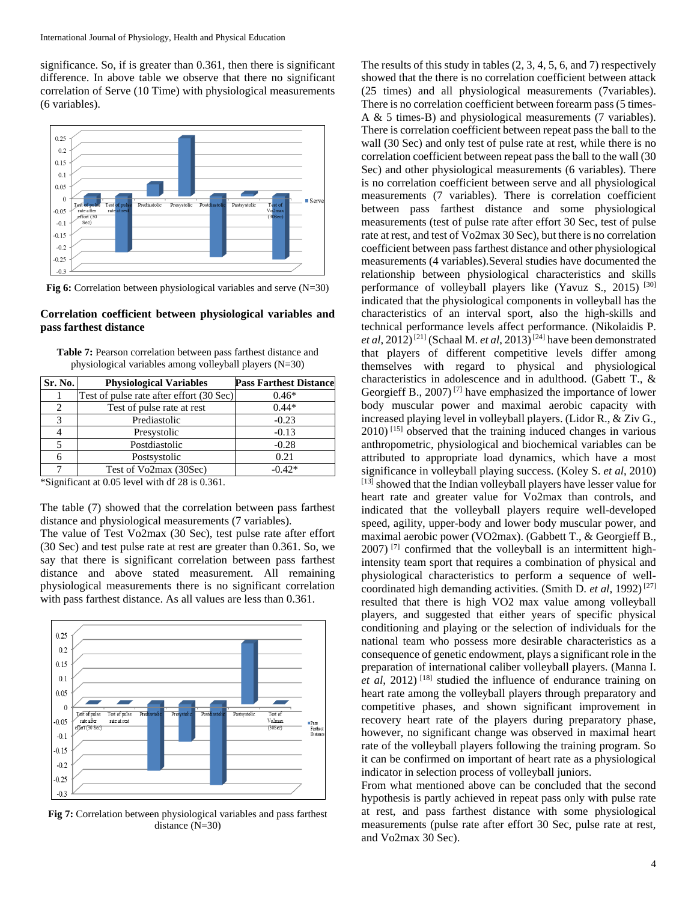significance. So, if is greater than 0.361, then there is significant difference. In above table we observe that there no significant correlation of Serve (10 Time) with physiological measurements (6 variables).



**Fig 6:** Correlation between physiological variables and serve (N=30)

## **Correlation coefficient between physiological variables and pass farthest distance**

| <b>Table 7:</b> Pearson correlation between pass farthest distance and |  |
|------------------------------------------------------------------------|--|
| physiological variables among volleyball players $(N=30)$              |  |

| Sr. No. | <b>Physiological Variables</b>           | <b>Pass Farthest Distance</b> |
|---------|------------------------------------------|-------------------------------|
|         | Test of pulse rate after effort (30 Sec) | $0.46*$                       |
|         | Test of pulse rate at rest               | $0.44*$                       |
| 2       | Prediastolic                             | $-0.23$                       |
|         | Presystolic                              | $-0.13$                       |
|         | Postdiastolic                            | $-0.28$                       |
|         | Postsystolic                             | 0.21                          |
|         | Test of Vo2max (30Sec)                   | $-0.42*$                      |

\*Significant at 0.05 level with df 28 is 0.361.

The table (7) showed that the correlation between pass farthest distance and physiological measurements (7 variables).

The value of Test Vo2max (30 Sec), test pulse rate after effort (30 Sec) and test pulse rate at rest are greater than 0.361. So, we say that there is significant correlation between pass farthest distance and above stated measurement. All remaining physiological measurements there is no significant correlation with pass farthest distance. As all values are less than 0.361.



**Fig 7:** Correlation between physiological variables and pass farthest distance (N=30)

The results of this study in tables (2, 3, 4, 5, 6, and 7) respectively showed that the there is no correlation coefficient between attack (25 times) and all physiological measurements (7variables). There is no correlation coefficient between forearm pass (5 times-A & 5 times-B) and physiological measurements (7 variables). There is correlation coefficient between repeat pass the ball to the wall (30 Sec) and only test of pulse rate at rest, while there is no correlation coefficient between repeat pass the ball to the wall (30 Sec) and other physiological measurements (6 variables). There is no correlation coefficient between serve and all physiological measurements (7 variables). There is correlation coefficient between pass farthest distance and some physiological measurements (test of pulse rate after effort 30 Sec, test of pulse rate at rest, and test of Vo2max 30 Sec), but there is no correlation coefficient between pass farthest distance and other physiological measurements (4 variables).Several studies have documented the relationship between physiological characteristics and skills performance of volleyball players like (Yavuz S., 2015) [30] indicated that the physiological components in volleyball has the characteristics of an interval sport, also the high-skills and technical performance levels affect performance. (Nikolaidis P. *et al*, 2012)<sup>[21]</sup> (Schaal M. *et al*, 2013)<sup>[24]</sup> have been demonstrated that players of different competitive levels differ among themselves with regard to physical and physiological characteristics in adolescence and in adulthood. (Gabett T., & Georgieff B., 2007)<sup>[7]</sup> have emphasized the importance of lower body muscular power and maximal aerobic capacity with increased playing level in volleyball players. (Lidor R., & Ziv G., 2010) [15] observed that the training induced changes in various anthropometric, physiological and biochemical variables can be attributed to appropriate load dynamics, which have a most significance in volleyball playing success. (Koley S. *et al*, 2010) [13] showed that the Indian volleyball players have lesser value for heart rate and greater value for Vo2max than controls, and indicated that the volleyball players require well-developed speed, agility, upper-body and lower body muscular power, and maximal aerobic power (VO2max). (Gabbett T., & Georgieff B.,  $2007$ )<sup>[7]</sup> confirmed that the volleyball is an intermittent highintensity team sport that requires a combination of physical and physiological characteristics to perform a sequence of wellcoordinated high demanding activities. (Smith D. *et al*, 1992) [27] resulted that there is high VO2 max value among volleyball players, and suggested that either years of specific physical conditioning and playing or the selection of individuals for the national team who possess more desirable characteristics as a consequence of genetic endowment, plays a significant role in the preparation of international caliber volleyball players. (Manna I. *et al*, 2012) [18] studied the influence of endurance training on heart rate among the volleyball players through preparatory and competitive phases, and shown significant improvement in recovery heart rate of the players during preparatory phase, however, no significant change was observed in maximal heart rate of the volleyball players following the training program. So it can be confirmed on important of heart rate as a physiological indicator in selection process of volleyball juniors.

From what mentioned above can be concluded that the second hypothesis is partly achieved in repeat pass only with pulse rate at rest, and pass farthest distance with some physiological measurements (pulse rate after effort 30 Sec, pulse rate at rest, and Vo2max 30 Sec).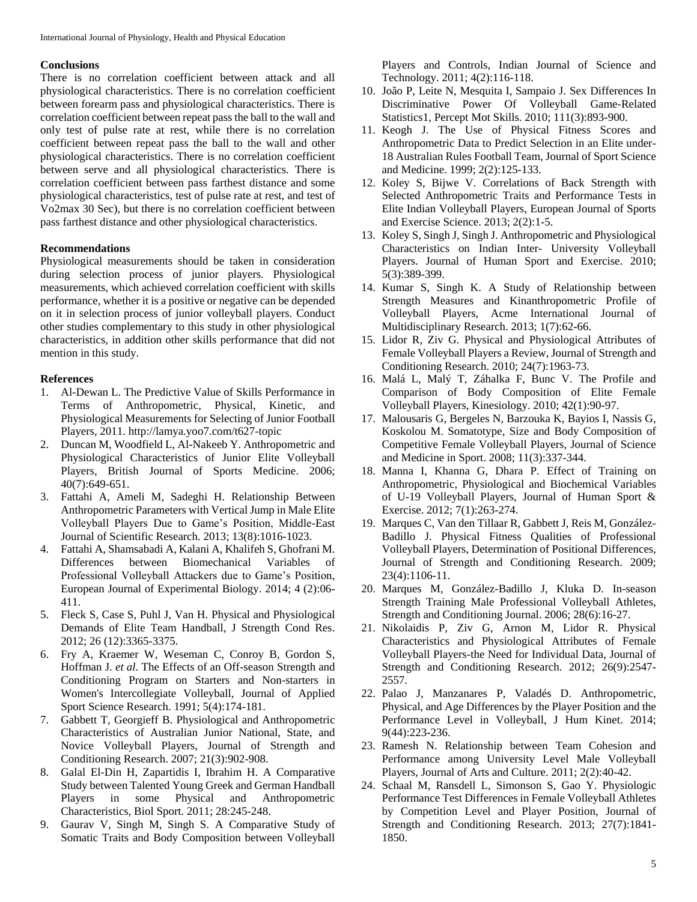#### **Conclusions**

There is no correlation coefficient between attack and all physiological characteristics. There is no correlation coefficient between forearm pass and physiological characteristics. There is correlation coefficient between repeat pass the ball to the wall and only test of pulse rate at rest, while there is no correlation coefficient between repeat pass the ball to the wall and other physiological characteristics. There is no correlation coefficient between serve and all physiological characteristics. There is correlation coefficient between pass farthest distance and some physiological characteristics, test of pulse rate at rest, and test of Vo2max 30 Sec), but there is no correlation coefficient between pass farthest distance and other physiological characteristics.

## **Recommendations**

Physiological measurements should be taken in consideration during selection process of junior players. Physiological measurements, which achieved correlation coefficient with skills performance, whether it is a positive or negative can be depended on it in selection process of junior volleyball players. Conduct other studies complementary to this study in other physiological characteristics, in addition other skills performance that did not mention in this study.

# **References**

- 1. Al-Dewan L. The Predictive Value of Skills Performance in Terms of Anthropometric, Physical, Kinetic, and Physiological Measurements for Selecting of Junior Football Players, 2011. http://lamya.yoo7.com/t627-topic
- 2. Duncan M, Woodfield L, Al-Nakeeb Y. Anthropometric and Physiological Characteristics of Junior Elite Volleyball Players, British Journal of Sports Medicine. 2006; 40(7):649-651.
- 3. Fattahi A, Ameli M, Sadeghi H. Relationship Between Anthropometric Parameters with Vertical Jump in Male Elite Volleyball Players Due to Game's Position, Middle-East Journal of Scientific Research. 2013; 13(8):1016-1023.
- 4. Fattahi A, Shamsabadi A, Kalani A, Khalifeh S, Ghofrani M. Differences between Biomechanical Variables of Professional Volleyball Attackers due to Game's Position, European Journal of Experimental Biology. 2014; 4 (2):06- 411.
- 5. Fleck S, Case S, Puhl J, Van H. Physical and Physiological Demands of Elite Team Handball, J Strength Cond Res. 2012; 26 (12):3365-3375.
- 6. Fry A, Kraemer W, Weseman C, Conroy B, Gordon S, Hoffman J. *et al*. The Effects of an Off-season Strength and Conditioning Program on Starters and Non-starters in Women's Intercollegiate Volleyball, Journal of Applied Sport Science Research. 1991; 5(4):174-181.
- 7. Gabbett T, Georgieff B. Physiological and Anthropometric Characteristics of Australian Junior National, State, and Novice Volleyball Players, Journal of Strength and Conditioning Research. 2007; 21(3):902-908.
- 8. Galal El-Din H, Zapartidis I, Ibrahim H. A Comparative Study between Talented Young Greek and German Handball Players in some Physical and Anthropometric Characteristics, Biol Sport. 2011; 28:245-248.
- 9. Gaurav V, Singh M, Singh S. A Comparative Study of Somatic Traits and Body Composition between Volleyball

Players and Controls, Indian Journal of Science and Technology. 2011; 4(2):116-118.

- 10. João P, Leite N, Mesquita I, Sampaio J. Sex Differences In Discriminative Power Of Volleyball Game-Related Statistics1, Percept Mot Skills. 2010; 111(3):893-900.
- 11. Keogh J. The Use of Physical Fitness Scores and Anthropometric Data to Predict Selection in an Elite under-18 Australian Rules Football Team, Journal of Sport Science and Medicine. 1999; 2(2):125-133.
- 12. Koley S, Bijwe V. Correlations of Back Strength with Selected Anthropometric Traits and Performance Tests in Elite Indian Volleyball Players, European Journal of Sports and Exercise Science. 2013; 2(2):1-5.
- 13. Koley S, Singh J, Singh J. Anthropometric and Physiological Characteristics on Indian Inter- University Volleyball Players. Journal of Human Sport and Exercise. 2010; 5(3):389-399.
- 14. Kumar S, Singh K. A Study of Relationship between Strength Measures and Kinanthropometric Profile of Volleyball Players, Acme International Journal of Multidisciplinary Research. 2013; 1(7):62-66.
- 15. Lidor R, Ziv G. Physical and Physiological Attributes of Female Volleyball Players a Review, Journal of Strength and Conditioning Research. 2010; 24(7):1963-73.
- 16. Malá L, Malý T, Záhalka F, Bunc V. The Profile and Comparison of Body Composition of Elite Female Volleyball Players, Kinesiology. 2010; 42(1):90-97.
- 17. Malousaris G, Bergeles N, Barzouka K, Bayios I, Nassis G, Koskolou M. Somatotype, Size and Body Composition of Competitive Female Volleyball Players, Journal of Science and Medicine in Sport. 2008; 11(3):337-344.
- 18. Manna I, Khanna G, Dhara P. Effect of Training on Anthropometric, Physiological and Biochemical Variables of U-19 Volleyball Players, Journal of Human Sport & Exercise. 2012; 7(1):263-274.
- 19. Marques C, Van den Tillaar R, Gabbett J, Reis M, González-Badillo J. Physical Fitness Qualities of Professional Volleyball Players, Determination of Positional Differences, Journal of Strength and Conditioning Research. 2009; 23(4):1106-11.
- 20. Marques M, González-Badillo J, Kluka D. In-season Strength Training Male Professional Volleyball Athletes, Strength and Conditioning Journal. 2006; 28(6):16-27.
- 21. Nikolaidis P, Ziv G, Arnon M, Lidor R. Physical Characteristics and Physiological Attributes of Female Volleyball Players-the Need for Individual Data, Journal of Strength and Conditioning Research. 2012; 26(9):2547- 2557.
- 22. Palao J, Manzanares P, Valadés D. Anthropometric, Physical, and Age Differences by the Player Position and the Performance Level in Volleyball, J Hum Kinet. 2014; 9(44):223-236.
- 23. Ramesh N. Relationship between Team Cohesion and Performance among University Level Male Volleyball Players, Journal of Arts and Culture. 2011; 2(2):40-42.
- 24. Schaal M, Ransdell L, Simonson S, Gao Y. Physiologic Performance Test Differences in Female Volleyball Athletes by Competition Level and Player Position, Journal of Strength and Conditioning Research. 2013; 27(7):1841- 1850.